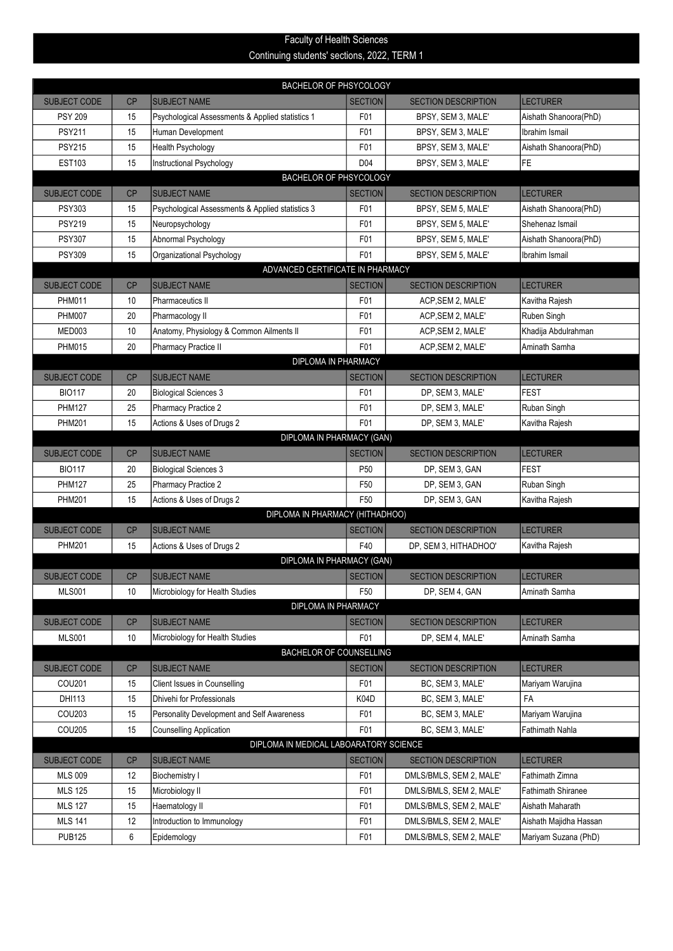## Continuing students' sections, 2022, TERM 1 Faculty of Health Sciences

| <b>BACHELOR OF PHSYCOLOGY</b> |                                  |                                                            |                 |                            |                        |  |  |  |
|-------------------------------|----------------------------------|------------------------------------------------------------|-----------------|----------------------------|------------------------|--|--|--|
| <b>SUBJECT CODE</b>           | <b>CP</b>                        | <b>SUBJECT NAME</b>                                        | <b>SECTION</b>  | <b>SECTION DESCRIPTION</b> | <b>LECTURER</b>        |  |  |  |
| <b>PSY 209</b>                | 15                               | Psychological Assessments & Applied statistics 1           | F01             | BPSY, SEM 3, MALE'         | Aishath Shanoora(PhD)  |  |  |  |
| <b>PSY211</b>                 | 15                               | Human Development                                          | F01             | BPSY, SEM 3, MALE'         | Ibrahim Ismail         |  |  |  |
| <b>PSY215</b>                 | 15                               | Health Psychology                                          | F01             | BPSY, SEM 3, MALE'         | Aishath Shanoora(PhD)  |  |  |  |
| <b>EST103</b>                 | 15                               | Instructional Psychology                                   | D <sub>04</sub> | BPSY, SEM 3, MALE'         | FE                     |  |  |  |
| BACHELOR OF PHSYCOLOGY        |                                  |                                                            |                 |                            |                        |  |  |  |
| <b>SUBJECT CODE</b>           | <b>CP</b>                        | <b>SUBJECT NAME</b>                                        | <b>SECTION</b>  | <b>SECTION DESCRIPTION</b> | <b>LECTURER</b>        |  |  |  |
| <b>PSY303</b>                 | 15                               | Psychological Assessments & Applied statistics 3           | F01             | BPSY, SEM 5, MALE'         | Aishath Shanoora(PhD)  |  |  |  |
| <b>PSY219</b>                 | 15                               | Neuropsychology                                            | F01             | BPSY, SEM 5, MALE'         | Shehenaz Ismail        |  |  |  |
| PSY307                        | 15                               | Abnormal Psychology                                        | F01             | BPSY, SEM 5, MALE'         | Aishath Shanoora(PhD)  |  |  |  |
| <b>PSY309</b>                 | 15                               | Organizational Psychology                                  | F01             | BPSY, SEM 5, MALE'         | Ibrahim Ismail         |  |  |  |
|                               | ADVANCED CERTIFICATE IN PHARMACY |                                                            |                 |                            |                        |  |  |  |
| <b>SUBJECT CODE</b>           | <b>CP</b>                        | <b>SUBJECT NAME</b>                                        | <b>SECTION</b>  | <b>SECTION DESCRIPTION</b> | <b>LECTURER</b>        |  |  |  |
| <b>PHM011</b>                 | 10                               | Pharmaceutics II                                           | F01             | ACP, SEM 2, MALE'          | Kavitha Rajesh         |  |  |  |
| <b>PHM007</b>                 | 20                               | Pharmacology II                                            | F01             | ACP, SEM 2, MALE'          | Ruben Singh            |  |  |  |
| MED003                        | 10                               | Anatomy, Physiology & Common Ailments II                   | F01             | ACP, SEM 2, MALE'          | Khadija Abdulrahman    |  |  |  |
| <b>PHM015</b>                 | 20                               | Pharmacy Practice II                                       | F <sub>01</sub> | ACP, SEM 2, MALE'          | Aminath Samha          |  |  |  |
|                               | DIPLOMA IN PHARMACY              |                                                            |                 |                            |                        |  |  |  |
| <b>SUBJECT CODE</b>           | CP                               | <b>SUBJECT NAME</b>                                        | <b>SECTION</b>  | <b>SECTION DESCRIPTION</b> | <b>LECTURER</b>        |  |  |  |
| <b>BIO117</b>                 | 20                               | <b>Biological Sciences 3</b>                               | F01             | DP, SEM 3, MALE'           | FEST                   |  |  |  |
| <b>PHM127</b>                 | 25                               | Pharmacy Practice 2                                        | F01             | DP, SEM 3, MALE'           | Ruban Singh            |  |  |  |
| <b>PHM201</b>                 | 15                               | Actions & Uses of Drugs 2                                  | F01             | DP, SEM 3, MALE'           | Kavitha Rajesh         |  |  |  |
|                               |                                  | DIPLOMA IN PHARMACY (GAN)                                  |                 |                            |                        |  |  |  |
| <b>SUBJECT CODE</b>           | <b>CP</b>                        | <b>SUBJECT NAME</b>                                        | <b>SECTION</b>  | <b>SECTION DESCRIPTION</b> | <b>LECTURER</b>        |  |  |  |
| <b>BIO117</b>                 | 20                               | Biological Sciences 3                                      | P <sub>50</sub> | DP, SEM 3, GAN             | <b>FEST</b>            |  |  |  |
| <b>PHM127</b>                 | 25                               | Pharmacy Practice 2                                        | F50             | DP, SEM 3, GAN             | Ruban Singh            |  |  |  |
| <b>PHM201</b>                 | 15                               | Actions & Uses of Drugs 2                                  | F <sub>50</sub> | DP, SEM 3, GAN             | Kavitha Rajesh         |  |  |  |
|                               |                                  | DIPLOMA IN PHARMACY (HITHADHOO)                            |                 |                            |                        |  |  |  |
| <b>SUBJECT CODE</b>           | CP                               | <b>SUBJECT NAME</b>                                        | <b>SECTION</b>  | <b>SECTION DESCRIPTION</b> | <b>LECTURER</b>        |  |  |  |
| <b>PHM201</b>                 | 15                               | Actions & Uses of Drugs 2                                  | F40             | DP, SEM 3, HITHADHOO'      | Kavitha Rajesh         |  |  |  |
|                               |                                  | DIPLOMA IN PHARMACY (GAN)                                  |                 |                            |                        |  |  |  |
| <b>SUBJECT CODE</b>           | <b>CP</b>                        | <b>SUBJECT NAME</b>                                        | <b>SECTION</b>  | <b>SECTION DESCRIPTION</b> | <b>LECTURER</b>        |  |  |  |
| <b>MLS001</b>                 | 10                               | Microbiology for Health Studies<br>DIPLOMA IN PHARMACY     | F <sub>50</sub> | DP, SEM 4, GAN             | Aminath Samha          |  |  |  |
|                               |                                  |                                                            |                 |                            |                        |  |  |  |
| <b>SUBJECT CODE</b>           | CP                               | <b>SUBJECT NAME</b>                                        | <b>SECTION</b>  | <b>SECTION DESCRIPTION</b> | <b>LECTURER</b>        |  |  |  |
| <b>MLS001</b>                 | 10                               | Microbiology for Health Studies<br>BACHELOR OF COUNSELLING | F01             | DP, SEM 4, MALE'           | Aminath Samha          |  |  |  |
| SUBJECT CODE                  | <b>CP</b>                        | <b>SUBJECT NAME</b>                                        | <b>SECTION</b>  | <b>SECTION DESCRIPTION</b> | <b>LECTURER</b>        |  |  |  |
| COU201                        | 15                               | Client Issues in Counselling                               | F01             | BC, SEM 3, MALE'           | Mariyam Warujina       |  |  |  |
| DHI113                        | 15                               | Dhivehi for Professionals                                  | K04D            | BC, SEM 3, MALE'           | FA                     |  |  |  |
| COU203                        | 15                               | Personality Development and Self Awareness                 | F01             | BC, SEM 3, MALE'           | Mariyam Warujina       |  |  |  |
| COU205                        | 15                               | <b>Counselling Application</b>                             | F01             | BC, SEM 3, MALE'           | Fathimath Nahla        |  |  |  |
|                               |                                  | DIPLOMA IN MEDICAL LABOARATORY SCIENCE                     |                 |                            |                        |  |  |  |
| SUBJECT CODE                  | CP                               | <b>SUBJECT NAME</b>                                        | <b>SECTION</b>  | <b>SECTION DESCRIPTION</b> | <b>LECTURER</b>        |  |  |  |
| <b>MLS 009</b>                | 12                               | Biochemistry I                                             | F01             | DMLS/BMLS, SEM 2, MALE'    | Fathimath Zimna        |  |  |  |
| <b>MLS 125</b>                | 15                               | Microbiology II                                            | F01             | DMLS/BMLS, SEM 2, MALE'    | Fathimath Shiranee     |  |  |  |
| <b>MLS 127</b>                | 15                               | Haematology II                                             | F01             | DMLS/BMLS, SEM 2, MALE'    | Aishath Maharath       |  |  |  |
| <b>MLS 141</b>                | 12                               | Introduction to Immunology                                 | F01             | DMLS/BMLS, SEM 2, MALE'    | Aishath Majidha Hassan |  |  |  |
| <b>PUB125</b>                 | 6                                | Epidemology                                                | F01             | DMLS/BMLS, SEM 2, MALE'    | Mariyam Suzana (PhD)   |  |  |  |
|                               |                                  |                                                            |                 |                            |                        |  |  |  |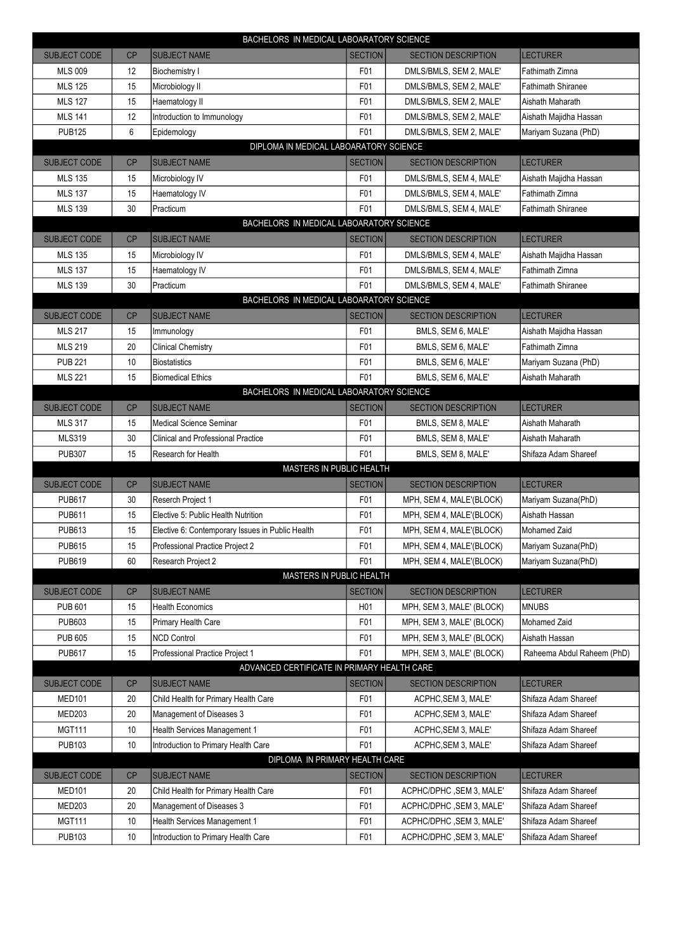|                                        | BACHELORS IN MEDICAL LABOARATORY SCIENCE    |                                                  |                  |                            |                            |  |  |  |
|----------------------------------------|---------------------------------------------|--------------------------------------------------|------------------|----------------------------|----------------------------|--|--|--|
| <b>SUBJECT CODE</b>                    | CP                                          | <b>SUBJECT NAME</b>                              | <b>SECTION</b>   | <b>SECTION DESCRIPTION</b> | <b>LECTURER</b>            |  |  |  |
| <b>MLS 009</b>                         | 12                                          | Biochemistry I                                   | F01              | DMLS/BMLS, SEM 2, MALE'    | Fathimath Zimna            |  |  |  |
| <b>MLS 125</b>                         | 15                                          | Microbiology II                                  | F01              | DMLS/BMLS, SEM 2, MALE'    | <b>Fathimath Shiranee</b>  |  |  |  |
| <b>MLS 127</b>                         | 15                                          | Haematology II                                   | F01              | DMLS/BMLS, SEM 2, MALE'    | Aishath Maharath           |  |  |  |
| <b>MLS 141</b>                         | 12                                          | Introduction to Immunology                       | F01              | DMLS/BMLS, SEM 2, MALE'    | Aishath Majidha Hassan     |  |  |  |
| <b>PUB125</b>                          | 6                                           | Epidemology                                      | F01              | DMLS/BMLS, SEM 2, MALE'    | Mariyam Suzana (PhD)       |  |  |  |
| DIPLOMA IN MEDICAL LABOARATORY SCIENCE |                                             |                                                  |                  |                            |                            |  |  |  |
| <b>SUBJECT CODE</b>                    | CP                                          | <b>SUBJECT NAME</b>                              | <b>SECTION</b>   | <b>SECTION DESCRIPTION</b> | <b>LECTURER</b>            |  |  |  |
| <b>MLS 135</b>                         | 15                                          | Microbiology IV                                  | F01              | DMLS/BMLS, SEM 4, MALE'    | Aishath Majidha Hassan     |  |  |  |
| <b>MLS 137</b>                         | 15                                          | Haematology IV                                   | F01              | DMLS/BMLS, SEM 4, MALE'    | Fathimath Zimna            |  |  |  |
| <b>MLS 139</b>                         | 30                                          | Practicum                                        | F01              | DMLS/BMLS, SEM 4, MALE'    | Fathimath Shiranee         |  |  |  |
|                                        | BACHELORS IN MEDICAL LABOARATORY SCIENCE    |                                                  |                  |                            |                            |  |  |  |
| <b>SUBJECT CODE</b>                    | CP                                          | <b>SUBJECT NAME</b>                              | <b>SECTION</b>   | <b>SECTION DESCRIPTION</b> | <b>LECTURER</b>            |  |  |  |
| <b>MLS 135</b>                         | 15                                          | Microbiology IV                                  | F01              | DMLS/BMLS, SEM 4, MALE'    | Aishath Majidha Hassan     |  |  |  |
| <b>MLS 137</b>                         | 15                                          | Haematology IV                                   | F01              | DMLS/BMLS, SEM 4, MALE'    | Fathimath Zimna            |  |  |  |
| <b>MLS 139</b>                         | 30                                          | Practicum                                        | F01              | DMLS/BMLS, SEM 4, MALE'    | <b>Fathimath Shiranee</b>  |  |  |  |
|                                        |                                             | BACHELORS IN MEDICAL LABOARATORY SCIENCE         |                  |                            |                            |  |  |  |
| <b>SUBJECT CODE</b>                    | CP                                          | <b>SUBJECT NAME</b>                              | <b>SECTION</b>   | <b>SECTION DESCRIPTION</b> | <b>LECTURER</b>            |  |  |  |
| <b>MLS 217</b>                         | 15                                          | Immunology                                       | F01              | BMLS, SEM 6, MALE'         | Aishath Majidha Hassan     |  |  |  |
| <b>MLS 219</b>                         | 20                                          | <b>Clinical Chemistry</b>                        | F01              | BMLS, SEM 6, MALE'         | Fathimath Zimna            |  |  |  |
| <b>PUB 221</b>                         | 10                                          | <b>Biostatistics</b>                             | F <sub>0</sub> 1 | BMLS, SEM 6, MALE'         | Mariyam Suzana (PhD)       |  |  |  |
| <b>MLS 221</b>                         | 15                                          | <b>Biomedical Ethics</b>                         | F01              | BMLS, SEM 6, MALE'         | Aishath Maharath           |  |  |  |
|                                        |                                             | BACHELORS IN MEDICAL LABOARATORY SCIENCE         |                  |                            |                            |  |  |  |
| <b>SUBJECT CODE</b>                    | CP                                          | <b>SUBJECT NAME</b>                              | <b>SECTION</b>   | <b>SECTION DESCRIPTION</b> | <b>LECTURER</b>            |  |  |  |
| <b>MLS 317</b>                         | 15                                          | Medical Science Seminar                          | F <sub>0</sub> 1 | BMLS, SEM 8, MALE'         | Aishath Maharath           |  |  |  |
| <b>MLS319</b>                          | 30                                          | <b>Clinical and Professional Practice</b>        | F01              | BMLS, SEM 8, MALE'         | Aishath Maharath           |  |  |  |
| <b>PUB307</b>                          | 15                                          | Research for Health                              | F <sub>01</sub>  | BMLS, SEM 8, MALE'         | Shifaza Adam Shareef       |  |  |  |
|                                        |                                             | MASTERS IN PUBLIC HEALTH                         |                  |                            |                            |  |  |  |
| <b>SUBJECT CODE</b>                    | CP                                          | <b>SUBJECT NAME</b>                              | <b>SECTION</b>   | <b>SECTION DESCRIPTION</b> | <b>LECTURER</b>            |  |  |  |
| <b>PUB617</b>                          | 30                                          | Reserch Project 1                                | F01              | MPH, SEM 4, MALE'(BLOCK)   | Mariyam Suzana(PhD)        |  |  |  |
| <b>PUB611</b>                          | 15                                          | Elective 5: Public Health Nutrition              | F01              | MPH, SEM 4, MALE'(BLOCK)   | Aishath Hassan             |  |  |  |
| <b>PUB613</b>                          | 15                                          | Elective 6: Contemporary Issues in Public Health | F01              | MPH, SEM 4, MALE'(BLOCK)   | Mohamed Zaid               |  |  |  |
| <b>PUB615</b>                          | 15                                          | Professional Practice Project 2                  | F01              | MPH, SEM 4, MALE'(BLOCK)   | Mariyam Suzana(PhD)        |  |  |  |
| <b>PUB619</b>                          | 60                                          | Research Project 2                               | F01              | MPH, SEM 4, MALE'(BLOCK)   | Mariyam Suzana(PhD)        |  |  |  |
|                                        |                                             | MASTERS IN PUBLIC HEALTH                         |                  |                            |                            |  |  |  |
| SUBJECT CODE                           | CP                                          | <b>SUBJECT NAME</b>                              | <b>SECTION</b>   | <b>SECTION DESCRIPTION</b> | <b>LECTURER</b>            |  |  |  |
| <b>PUB 601</b>                         | 15                                          | <b>Health Economics</b>                          | H <sub>0</sub> 1 | MPH, SEM 3, MALE' (BLOCK)  | <b>MNUBS</b>               |  |  |  |
| <b>PUB603</b>                          | 15                                          | Primary Health Care                              | F01              | MPH, SEM 3, MALE' (BLOCK)  | Mohamed Zaid               |  |  |  |
| <b>PUB 605</b>                         | 15                                          | <b>NCD Control</b>                               | F <sub>0</sub> 1 | MPH, SEM 3, MALE' (BLOCK)  | Aishath Hassan             |  |  |  |
| <b>PUB617</b>                          | 15                                          | Professional Practice Project 1                  | F <sub>0</sub> 1 | MPH, SEM 3, MALE' (BLOCK)  | Raheema Abdul Raheem (PhD) |  |  |  |
|                                        | ADVANCED CERTIFICATE IN PRIMARY HEALTH CARE |                                                  |                  |                            |                            |  |  |  |
| SUBJECT CODE                           | CP                                          | <b>SUBJECT NAME</b>                              | <b>SECTION</b>   | <b>SECTION DESCRIPTION</b> | <b>LECTURER</b>            |  |  |  |
| <b>MED101</b>                          | 20                                          | Child Health for Primary Health Care             | F01              | ACPHC, SEM 3, MALE'        | Shifaza Adam Shareef       |  |  |  |
| <b>MED203</b>                          | 20                                          | Management of Diseases 3                         | F01              | ACPHC, SEM 3, MALE'        | Shifaza Adam Shareef       |  |  |  |
| <b>MGT111</b>                          | 10                                          | Health Services Management 1                     | F01              | ACPHC, SEM 3, MALE'        | Shifaza Adam Shareef       |  |  |  |
| <b>PUB103</b>                          | 10                                          | Introduction to Primary Health Care              | F01              | ACPHC, SEM 3, MALE'        | Shifaza Adam Shareef       |  |  |  |
| DIPLOMA IN PRIMARY HEALTH CARE         |                                             |                                                  |                  |                            |                            |  |  |  |
| SUBJECT CODE                           | CP                                          | <b>SUBJECT NAME</b>                              | <b>SECTION</b>   | <b>SECTION DESCRIPTION</b> | <b>LECTURER</b>            |  |  |  |
| <b>MED101</b>                          | 20                                          | Child Health for Primary Health Care             | F01              | ACPHC/DPHC, SEM 3, MALE'   | Shifaza Adam Shareef       |  |  |  |
| <b>MED203</b>                          | 20                                          | Management of Diseases 3                         | F01              | ACPHC/DPHC, SEM 3, MALE'   | Shifaza Adam Shareef       |  |  |  |
| <b>MGT111</b>                          | 10                                          | Health Services Management 1                     | F01              | ACPHC/DPHC, SEM 3, MALE'   | Shifaza Adam Shareef       |  |  |  |
| <b>PUB103</b>                          | 10                                          | Introduction to Primary Health Care              | F01              | ACPHC/DPHC, SEM 3, MALE'   | Shifaza Adam Shareef       |  |  |  |